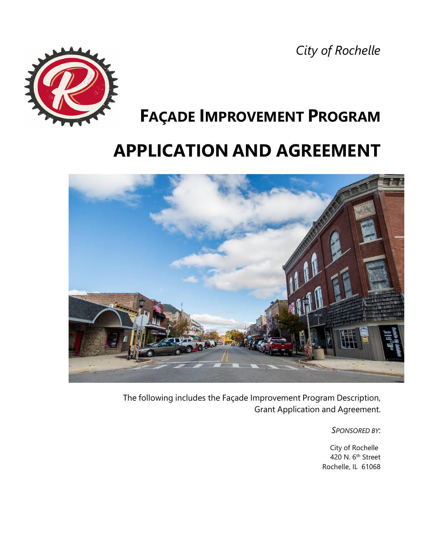*City of Rochelle*



# **FAÇADE IMPROVEMENT PROGRAM**

# **APPLICATION AND AGREEMENT**



The following includes the Façade Improvement Program Description, Grant Application and Agreement.

*SPONSORED BY*:

 City of Rochelle 420 N. 6<sup>th</sup> Street Rochelle, IL 61068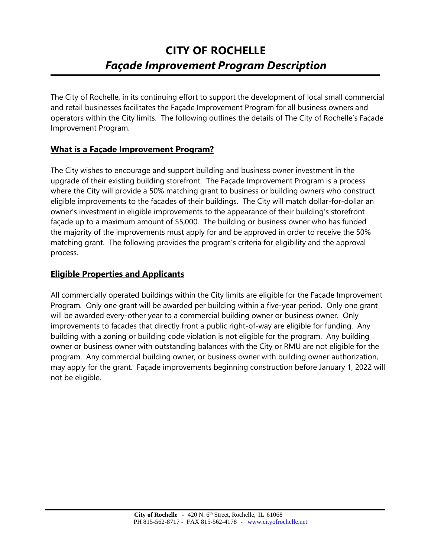# **CITY OF ROCHELLE** *Façade Improvement Program Description*

The City of Rochelle, in its continuing effort to support the development of local small commercial and retail businesses facilitates the Façade Improvement Program for all business owners and operators within the City limits. The following outlines the details of The City of Rochelle's Façade Improvement Program.

# **What is a Façade Improvement Program?**

The City wishes to encourage and support building and business owner investment in the upgrade of their existing building storefront. The Façade Improvement Program is a process where the City will provide a 50% matching grant to business or building owners who construct eligible improvements to the facades of their buildings. The City will match dollar-for-dollar an owner's investment in eligible improvements to the appearance of their building's storefront façade up to a maximum amount of \$5,000. The building or business owner who has funded the majority of the improvements must apply for and be approved in order to receive the 50% matching grant. The following provides the program's criteria for eligibility and the approval process.

# **Eligible Properties and Applicants**

All commercially operated buildings within the City limits are eligible for the Façade Improvement Program. Only one grant will be awarded per building within a five-year period. Only one grant will be awarded every-other year to a commercial building owner or business owner. Only improvements to facades that directly front a public right-of-way are eligible for funding. Any building with a zoning or building code violation is not eligible for the program. Any building owner or business owner with outstanding balances with the City or RMU are not eligible for the program. Any commercial building owner, or business owner with building owner authorization, may apply for the grant. Façade improvements beginning construction before January 1, 2022 will not be eligible.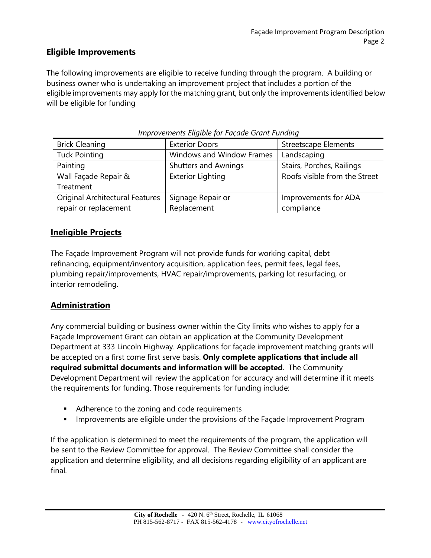# **Eligible Improvements**

The following improvements are eligible to receive funding through the program. A building or business owner who is undertaking an improvement project that includes a portion of the eligible improvements may apply for the matching grant, but only the improvements identified below will be eligible for funding

| <b>Brick Cleaning</b>                  | <b>Exterior Doors</b>            | <b>Streetscape Elements</b>   |  |
|----------------------------------------|----------------------------------|-------------------------------|--|
| <b>Tuck Pointing</b>                   | <b>Windows and Window Frames</b> | Landscaping                   |  |
| Painting                               | <b>Shutters and Awnings</b>      | Stairs, Porches, Railings     |  |
| Wall Façade Repair &                   | <b>Exterior Lighting</b>         | Roofs visible from the Street |  |
| Treatment                              |                                  |                               |  |
| <b>Original Architectural Features</b> | Signage Repair or                | Improvements for ADA          |  |
| repair or replacement                  | Replacement                      | compliance                    |  |

#### *Improvements Eligible for Façade Grant Funding*

# **Ineligible Projects**

The Façade Improvement Program will not provide funds for working capital, debt refinancing, equipment/inventory acquisition, application fees, permit fees, legal fees, plumbing repair/improvements, HVAC repair/improvements, parking lot resurfacing, or interior remodeling.

# **Administration**

Any commercial building or business owner within the City limits who wishes to apply for a Façade Improvement Grant can obtain an application at the Community Development Department at 333 Lincoln Highway. Applications for façade improvement matching grants will be accepted on a first come first serve basis. **Only complete applications that include all required submittal documents and information will be accepted**. The Community Development Department will review the application for accuracy and will determine if it meets the requirements for funding. Those requirements for funding include:

- Adherence to the zoning and code requirements
- **EXED** Improvements are eligible under the provisions of the Façade Improvement Program

If the application is determined to meet the requirements of the program, the application will be sent to the Review Committee for approval. The Review Committee shall consider the application and determine eligibility, and all decisions regarding eligibility of an applicant are final.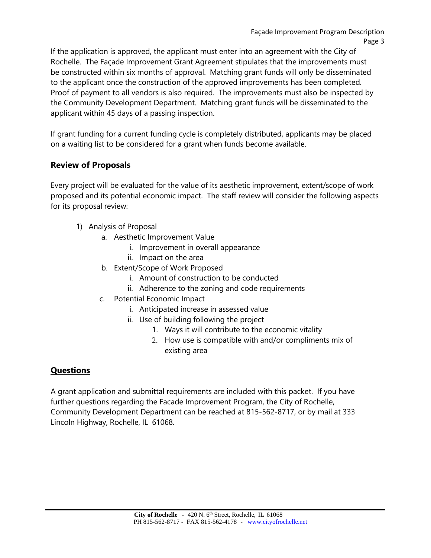If the application is approved, the applicant must enter into an agreement with the City of Rochelle. The Façade Improvement Grant Agreement stipulates that the improvements must be constructed within six months of approval. Matching grant funds will only be disseminated to the applicant once the construction of the approved improvements has been completed. Proof of payment to all vendors is also required. The improvements must also be inspected by the Community Development Department. Matching grant funds will be disseminated to the applicant within 45 days of a passing inspection.

If grant funding for a current funding cycle is completely distributed, applicants may be placed on a waiting list to be considered for a grant when funds become available.

# **Review of Proposals**

Every project will be evaluated for the value of its aesthetic improvement, extent/scope of work proposed and its potential economic impact. The staff review will consider the following aspects for its proposal review:

- 1) Analysis of Proposal
	- a. Aesthetic Improvement Value
		- i. Improvement in overall appearance
		- ii. Impact on the area
	- b. Extent/Scope of Work Proposed
		- i. Amount of construction to be conducted
		- ii. Adherence to the zoning and code requirements
	- c. Potential Economic Impact
		- i. Anticipated increase in assessed value
		- ii. Use of building following the project
			- 1. Ways it will contribute to the economic vitality
			- 2. How use is compatible with and/or compliments mix of existing area

# **Questions**

A grant application and submittal requirements are included with this packet. If you have further questions regarding the Facade Improvement Program, the City of Rochelle, Community Development Department can be reached at 815-562-8717, or by mail at 333 Lincoln Highway, Rochelle, IL 61068.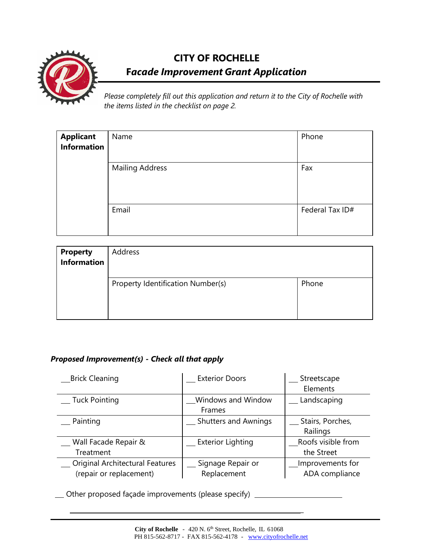

# **CITY OF ROCHELLE F***acade Improvement Grant Application*

*Please completely fill out this application and return it to the City of Rochelle with the items listed in the checklist on page 2.*

| <b>Applicant</b><br><b>Information</b> | Name                   | Phone           |
|----------------------------------------|------------------------|-----------------|
|                                        | <b>Mailing Address</b> | Fax             |
|                                        | Email                  | Federal Tax ID# |

| <b>Property</b><br>Information | Address                           |       |
|--------------------------------|-----------------------------------|-------|
|                                | Property Identification Number(s) | Phone |

### *Proposed Improvement(s) - Check all that apply*

| <b>Brick Cleaning</b>                                             | <b>Exterior Doors</b>               | Streetscape<br>Elements            |
|-------------------------------------------------------------------|-------------------------------------|------------------------------------|
| <b>Tuck Pointing</b>                                              | <b>Windows and Window</b><br>Frames | Landscaping                        |
| Painting                                                          | <b>Shutters and Awnings</b>         | Stairs, Porches,<br>Railings       |
| Wall Facade Repair &<br>Treatment                                 | <b>Exterior Lighting</b>            | Roofs visible from<br>the Street   |
| <b>Original Architectural Features</b><br>(repair or replacement) | Signage Repair or<br>Replacement    | Improvements for<br>ADA compliance |

Other proposed façade improvements (please specify)

 $\overline{a}$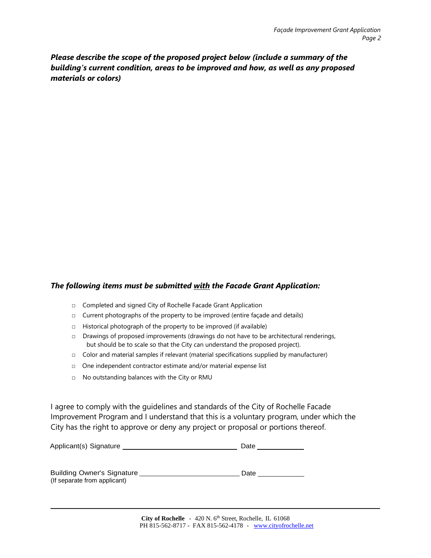*Please describe the scope of the proposed project below (include a summary of the building's current condition, areas to be improved and how, as well as any proposed materials or colors)*

#### *The following items must be submitted with the Facade Grant Application:*

- □ Completed and signed City of Rochelle Facade Grant Application
- $\Box$  Current photographs of the property to be improved (entire façade and details)
- $\Box$  Historical photograph of the property to be improved (if available)
- $\Box$  Drawings of proposed improvements (drawings do not have to be architectural renderings, but should be to scale so that the City can understand the proposed project).
- □ Color and material samples if relevant (material specifications supplied by manufacturer)
- □ One independent contractor estimate and/or material expense list
- □ No outstanding balances with the City or RMU

I agree to comply with the guidelines and standards of the City of Rochelle Facade Improvement Program and I understand that this is a voluntary program, under which the City has the right to approve or deny any project or proposal or portions thereof.

| Applicant(s) Signature | Date |
|------------------------|------|
|------------------------|------|

Building Owner's Signature \_\_\_\_\_\_\_\_\_\_\_\_\_\_\_\_\_\_\_\_\_\_\_\_\_\_\_\_\_\_\_\_\_ Date \_\_\_\_\_\_\_\_\_\_\_\_\_\_ (If separate from applicant)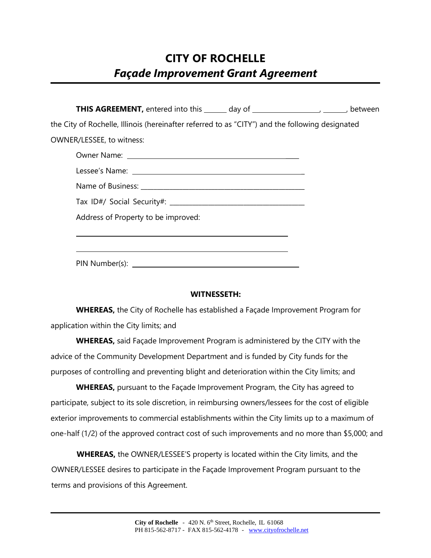# **CITY OF ROCHELLE** *Façade Improvement Grant Agreement*

| <b>THIS AGREEMENT,</b> entered into this ______ day of _______________________________ between  |  |
|-------------------------------------------------------------------------------------------------|--|
| the City of Rochelle, Illinois (hereinafter referred to as "CITY") and the following designated |  |
| OWNER/LESSEE, to witness:                                                                       |  |
|                                                                                                 |  |
|                                                                                                 |  |
|                                                                                                 |  |
|                                                                                                 |  |
| Address of Property to be improved:                                                             |  |
|                                                                                                 |  |
|                                                                                                 |  |
|                                                                                                 |  |

#### **WITNESSETH:**

**WHEREAS,** the City of Rochelle has established a Façade Improvement Program for application within the City limits; and

**WHEREAS,** said Façade Improvement Program is administered by the CITY with the advice of the Community Development Department and is funded by City funds for the purposes of controlling and preventing blight and deterioration within the City limits; and

**WHEREAS,** pursuant to the Façade Improvement Program, the City has agreed to participate, subject to its sole discretion, in reimbursing owners/lessees for the cost of eligible exterior improvements to commercial establishments within the City limits up to a maximum of one-half (1/2) of the approved contract cost of such improvements and no more than \$5,000; and

**WHEREAS,** the OWNER/LESSEE'S property is located within the City limits, and the OWNER/LESSEE desires to participate in the Façade Improvement Program pursuant to the terms and provisions of this Agreement.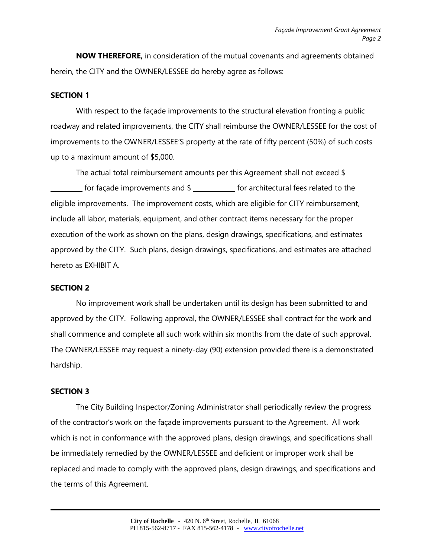**NOW THEREFORE,** in consideration of the mutual covenants and agreements obtained herein, the CITY and the OWNER/LESSEE do hereby agree as follows:

#### **SECTION 1**

With respect to the façade improvements to the structural elevation fronting a public roadway and related improvements, the CITY shall reimburse the OWNER/LESSEE for the cost of improvements to the OWNER/LESSEE'S property at the rate of fifty percent (50%) of such costs up to a maximum amount of \$5,000.

The actual total reimbursement amounts per this Agreement shall not exceed \$  $f$  for façade improvements and  $\frac{1}{2}$  for architectural fees related to the eligible improvements. The improvement costs, which are eligible for CITY reimbursement, include all labor, materials, equipment, and other contract items necessary for the proper execution of the work as shown on the plans, design drawings, specifications, and estimates approved by the CITY. Such plans, design drawings, specifications, and estimates are attached hereto as EXHIBIT A.

#### **SECTION 2**

No improvement work shall be undertaken until its design has been submitted to and approved by the CITY. Following approval, the OWNER/LESSEE shall contract for the work and shall commence and complete all such work within six months from the date of such approval. The OWNER/LESSEE may request a ninety-day (90) extension provided there is a demonstrated hardship.

#### **SECTION 3**

The City Building Inspector/Zoning Administrator shall periodically review the progress of the contractor's work on the façade improvements pursuant to the Agreement. All work which is not in conformance with the approved plans, design drawings, and specifications shall be immediately remedied by the OWNER/LESSEE and deficient or improper work shall be replaced and made to comply with the approved plans, design drawings, and specifications and the terms of this Agreement.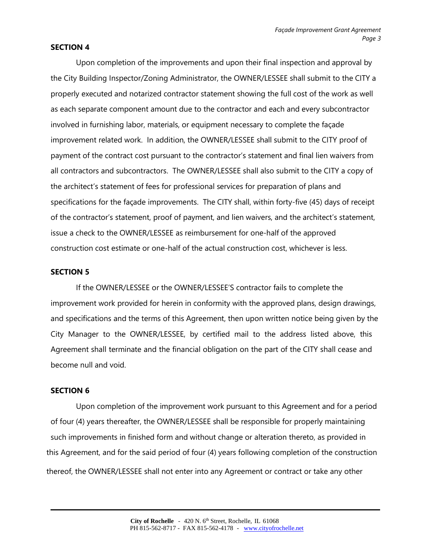#### **SECTION 4**

Upon completion of the improvements and upon their final inspection and approval by the City Building Inspector/Zoning Administrator, the OWNER/LESSEE shall submit to the CITY a properly executed and notarized contractor statement showing the full cost of the work as well as each separate component amount due to the contractor and each and every subcontractor involved in furnishing labor, materials, or equipment necessary to complete the façade improvement related work. In addition, the OWNER/LESSEE shall submit to the CITY proof of payment of the contract cost pursuant to the contractor's statement and final lien waivers from all contractors and subcontractors. The OWNER/LESSEE shall also submit to the CITY a copy of the architect's statement of fees for professional services for preparation of plans and specifications for the façade improvements. The CITY shall, within forty-five (45) days of receipt of the contractor's statement, proof of payment, and lien waivers, and the architect's statement, issue a check to the OWNER/LESSEE as reimbursement for one-half of the approved construction cost estimate or one-half of the actual construction cost, whichever is less.

#### **SECTION 5**

If the OWNER/LESSEE or the OWNER/LESSEE'S contractor fails to complete the improvement work provided for herein in conformity with the approved plans, design drawings, and specifications and the terms of this Agreement, then upon written notice being given by the City Manager to the OWNER/LESSEE, by certified mail to the address listed above, this Agreement shall terminate and the financial obligation on the part of the CITY shall cease and become null and void.

#### **SECTION 6**

Upon completion of the improvement work pursuant to this Agreement and for a period of four (4) years thereafter, the OWNER/LESSEE shall be responsible for properly maintaining such improvements in finished form and without change or alteration thereto, as provided in this Agreement, and for the said period of four (4) years following completion of the construction thereof, the OWNER/LESSEE shall not enter into any Agreement or contract or take any other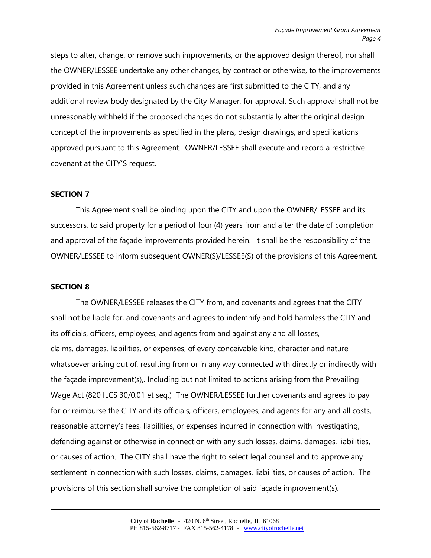steps to alter, change, or remove such improvements, or the approved design thereof, nor shall the OWNER/LESSEE undertake any other changes, by contract or otherwise, to the improvements provided in this Agreement unless such changes are first submitted to the CITY, and any additional review body designated by the City Manager, for approval. Such approval shall not be unreasonably withheld if the proposed changes do not substantially alter the original design concept of the improvements as specified in the plans, design drawings, and specifications approved pursuant to this Agreement. OWNER/LESSEE shall execute and record a restrictive covenant at the CITY'S request.

#### **SECTION 7**

This Agreement shall be binding upon the CITY and upon the OWNER/LESSEE and its successors, to said property for a period of four (4) years from and after the date of completion and approval of the façade improvements provided herein. It shall be the responsibility of the OWNER/LESSEE to inform subsequent OWNER(S)/LESSEE(S) of the provisions of this Agreement.

#### **SECTION 8**

The OWNER/LESSEE releases the CITY from, and covenants and agrees that the CITY shall not be liable for, and covenants and agrees to indemnify and hold harmless the CITY and its officials, officers, employees, and agents from and against any and all losses, claims, damages, liabilities, or expenses, of every conceivable kind, character and nature whatsoever arising out of, resulting from or in any way connected with directly or indirectly with the façade improvement(s),. Including but not limited to actions arising from the Prevailing Wage Act (820 ILCS 30/0.01 et seq.) The OWNER/LESSEE further covenants and agrees to pay for or reimburse the CITY and its officials, officers, employees, and agents for any and all costs, reasonable attorney's fees, liabilities, or expenses incurred in connection with investigating, defending against or otherwise in connection with any such losses, claims, damages, liabilities, or causes of action. The CITY shall have the right to select legal counsel and to approve any settlement in connection with such losses, claims, damages, liabilities, or causes of action. The provisions of this section shall survive the completion of said façade improvement(s).